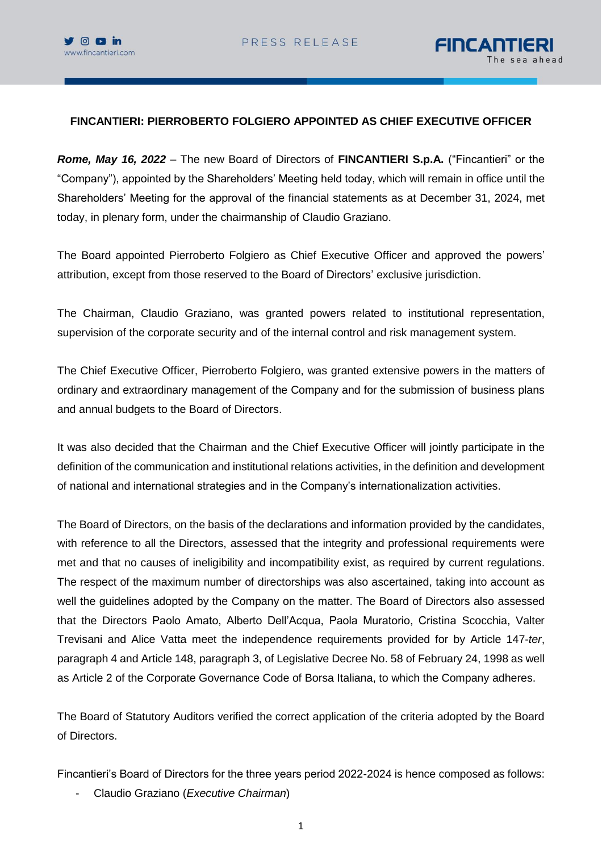



## **FINCANTIERI: PIERROBERTO FOLGIERO APPOINTED AS CHIEF EXECUTIVE OFFICER**

*Rome, May 16, 2022* – The new Board of Directors of **FINCANTIERI S.p.A.** ("Fincantieri" or the "Company"), appointed by the Shareholders' Meeting held today, which will remain in office until the Shareholders' Meeting for the approval of the financial statements as at December 31, 2024, met today, in plenary form, under the chairmanship of Claudio Graziano.

The Board appointed Pierroberto Folgiero as Chief Executive Officer and approved the powers' attribution, except from those reserved to the Board of Directors' exclusive jurisdiction.

The Chairman, Claudio Graziano, was granted powers related to institutional representation, supervision of the corporate security and of the internal control and risk management system.

The Chief Executive Officer, Pierroberto Folgiero, was granted extensive powers in the matters of ordinary and extraordinary management of the Company and for the submission of business plans and annual budgets to the Board of Directors.

It was also decided that the Chairman and the Chief Executive Officer will jointly participate in the definition of the communication and institutional relations activities, in the definition and development of national and international strategies and in the Company's internationalization activities.

The Board of Directors, on the basis of the declarations and information provided by the candidates, with reference to all the Directors, assessed that the integrity and professional requirements were met and that no causes of ineligibility and incompatibility exist, as required by current regulations. The respect of the maximum number of directorships was also ascertained, taking into account as well the guidelines adopted by the Company on the matter. The Board of Directors also assessed that the Directors Paolo Amato, Alberto Dell'Acqua, Paola Muratorio, Cristina Scocchia, Valter Trevisani and Alice Vatta meet the independence requirements provided for by Article 147-*ter*, paragraph 4 and Article 148, paragraph 3, of Legislative Decree No. 58 of February 24, 1998 as well as Article 2 of the Corporate Governance Code of Borsa Italiana, to which the Company adheres.

The Board of Statutory Auditors verified the correct application of the criteria adopted by the Board of Directors.

Fincantieri's Board of Directors for the three years period 2022-2024 is hence composed as follows:

- Claudio Graziano (*Executive Chairman*)